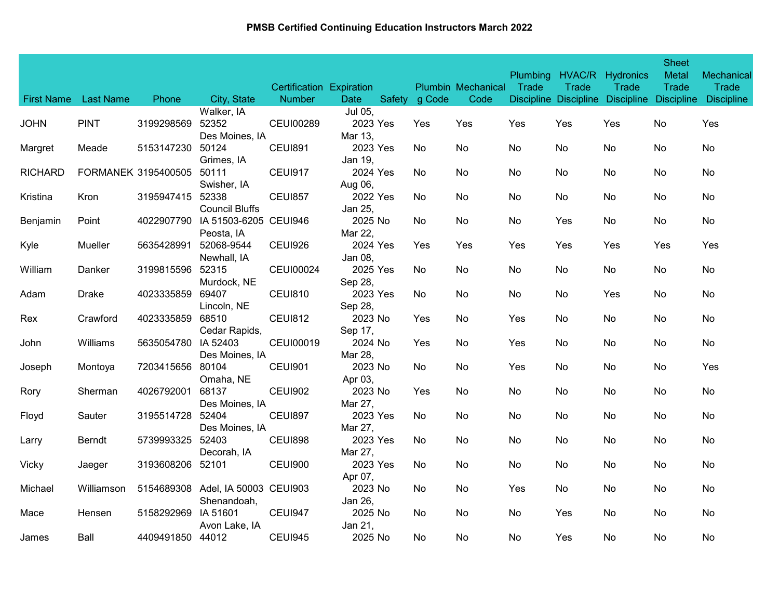| <b>First Name</b> | <b>Last Name</b>    | Phone            | City, State                                      | Certification Expiration<br><b>Number</b> | <b>Date</b>         | Safety | g Code | <b>Plumbin Mechanical</b><br>Code | <b>Plumbing</b><br>Trade | Trade<br><b>Discipline Discipline</b> | HVAC/R Hydronics<br>Trade<br><b>Discipline</b> | <b>Sheet</b><br>Metal<br>Trade<br><b>Discipline</b> | Mechanical<br><b>Trade</b><br><b>Discipline</b> |
|-------------------|---------------------|------------------|--------------------------------------------------|-------------------------------------------|---------------------|--------|--------|-----------------------------------|--------------------------|---------------------------------------|------------------------------------------------|-----------------------------------------------------|-------------------------------------------------|
|                   |                     |                  | Walker, IA                                       |                                           | Jul 05,             |        |        |                                   |                          |                                       |                                                |                                                     |                                                 |
| <b>JOHN</b>       | <b>PINT</b>         | 3199298569       | 52352<br>Des Moines, IA                          | <b>CEUI00289</b>                          | 2023 Yes<br>Mar 13, |        | Yes    | Yes                               | Yes                      | Yes                                   | Yes                                            | No                                                  | Yes                                             |
| Margret           | Meade               | 5153147230       | 50124<br>Grimes, IA                              | <b>CEUI891</b>                            | 2023 Yes<br>Jan 19, |        | No.    | No                                | No                       | No                                    | No                                             | No                                                  | No                                              |
| <b>RICHARD</b>    | FORMANEK 3195400505 |                  | 50111<br>Swisher, IA                             | <b>CEUI917</b>                            | 2024 Yes<br>Aug 06, |        | No.    | No                                | No                       | No                                    | No                                             | No                                                  | No                                              |
| Kristina          | Kron                | 3195947415       | 52338<br><b>Council Bluffs</b>                   | <b>CEUI857</b>                            | 2022 Yes<br>Jan 25, |        | No     | No.                               | No                       | No                                    | No                                             | No                                                  | No                                              |
| Benjamin          | Point               | 4022907790       | IA 51503-6205 CEUI946<br>Peosta, IA              |                                           | 2025 No<br>Mar 22,  |        | No.    | No.                               | No                       | Yes                                   | No                                             | No                                                  | No                                              |
| Kyle              | Mueller             | 5635428991       | 52068-9544<br>Newhall, IA                        | CEUI926                                   | 2024 Yes<br>Jan 08, |        | Yes    | Yes                               | Yes                      | Yes                                   | Yes                                            | Yes                                                 | Yes                                             |
| William           | Danker              | 3199815596       | 52315<br>Murdock, NE                             | <b>CEUI00024</b>                          | 2025 Yes<br>Sep 28, |        | No.    | No                                | No                       | No                                    | No                                             | No                                                  | No                                              |
| Adam              | <b>Drake</b>        | 4023335859       | 69407<br>Lincoln, NE                             | <b>CEUI810</b>                            | 2023 Yes<br>Sep 28, |        | No     | No                                | No                       | No                                    | Yes                                            | No                                                  | No                                              |
| Rex               | Crawford            | 4023335859       | 68510<br>Cedar Rapids,                           | <b>CEUI812</b>                            | 2023 No<br>Sep 17,  |        | Yes    | No                                | Yes                      | No                                    | No                                             | No                                                  | No                                              |
| John              | Williams            | 5635054780       | IA 52403<br>Des Moines, IA                       | <b>CEUI00019</b>                          | 2024 No<br>Mar 28,  |        | Yes    | No                                | Yes                      | No                                    | No                                             | No                                                  | No                                              |
| Joseph            | Montoya             | 7203415656       | 80104<br>Omaha, NE                               | <b>CEUI901</b>                            | 2023 No<br>Apr 03,  |        | No.    | No                                | Yes                      | No                                    | No                                             | No                                                  | Yes                                             |
| Rory              | Sherman             | 4026792001       | 68137<br>Des Moines, IA                          | <b>CEUI902</b>                            | 2023 No<br>Mar 27,  |        | Yes    | No                                | No                       | No                                    | No                                             | No                                                  | No                                              |
| Floyd             | Sauter              | 3195514728       | 52404<br>Des Moines, IA                          | CEUI897                                   | 2023 Yes<br>Mar 27, |        | No.    | No                                | No                       | No                                    | No                                             | No                                                  | No                                              |
| Larry             | Berndt              | 5739993325       | 52403<br>Decorah, IA                             | <b>CEUI898</b>                            | 2023 Yes<br>Mar 27, |        | No.    | No.                               | No                       | No                                    | No                                             | No                                                  | No                                              |
| Vicky             | Jaeger              | 3193608206       | 52101                                            | <b>CEUI900</b>                            | 2023 Yes<br>Apr 07, |        | No.    | No.                               | No                       | No                                    | No                                             | No                                                  | No                                              |
| Michael           | Williamson          |                  | 5154689308 Adel, IA 50003 CEUI903<br>Shenandoah, |                                           | 2023 No<br>Jan 26,  |        | No     | No                                | Yes                      | No                                    | No                                             | No                                                  | No                                              |
| Mace              | Hensen              | 5158292969       | IA 51601<br>Avon Lake, IA                        | CEUI947                                   | 2025 No<br>Jan 21,  |        | No.    | No.                               | No                       | Yes                                   | No                                             | No                                                  | No                                              |
| James             | Ball                | 4409491850 44012 |                                                  | <b>CEUI945</b>                            | 2025 No             |        | No.    | No.                               | No                       | Yes                                   | No                                             | No                                                  | No                                              |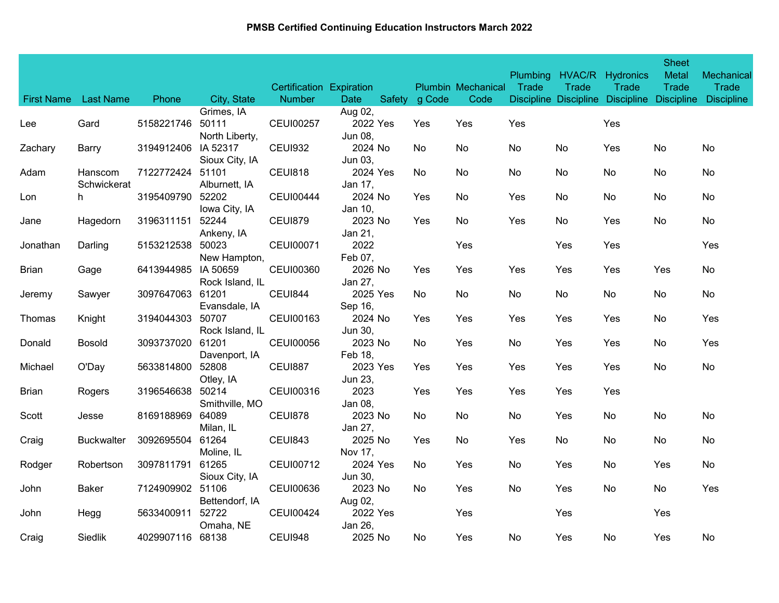| <b>First Name</b> | <b>Last Name</b>       | Phone               | City, State                | <b>Certification Expiration</b><br><b>Number</b> | Date                | Safety | g Code | Plumbin Mechanical<br>Code | <b>Plumbing</b><br>Trade | HVAC/R<br>Trade<br><b>Discipline Discipline</b> | Hydronics<br>Trade<br><b>Discipline</b> | <b>Sheet</b><br>Metal<br><b>Trade</b><br><b>Discipline</b> | Mechanical<br>Trade<br><b>Discipline</b> |
|-------------------|------------------------|---------------------|----------------------------|--------------------------------------------------|---------------------|--------|--------|----------------------------|--------------------------|-------------------------------------------------|-----------------------------------------|------------------------------------------------------------|------------------------------------------|
|                   |                        |                     | Grimes, IA                 |                                                  | Aug 02,             |        |        |                            |                          |                                                 |                                         |                                                            |                                          |
| Lee               | Gard                   | 5158221746          | 50111<br>North Liberty,    | <b>CEUI00257</b>                                 | 2022 Yes<br>Jun 08, |        | Yes    | Yes                        | Yes                      |                                                 | Yes                                     |                                                            |                                          |
| Zachary           | Barry                  | 3194912406          | IA 52317<br>Sioux City, IA | <b>CEUI932</b>                                   | 2024 No<br>Jun 03,  |        | No.    | No                         | No                       | No                                              | Yes                                     | No                                                         | No                                       |
| Adam              | Hanscom<br>Schwickerat | 7122772424          | 51101<br>Alburnett, IA     | <b>CEUI818</b>                                   | 2024 Yes<br>Jan 17, |        | No     | No                         | No                       | No                                              | No                                      | No                                                         | No                                       |
| Lon               | h.                     | 3195409790          | 52202<br>Iowa City, IA     | <b>CEUI00444</b>                                 | 2024 No<br>Jan 10,  |        | Yes    | No                         | Yes                      | No                                              | No                                      | No                                                         | No                                       |
| Jane              | Hagedorn               | 3196311151          | 52244<br>Ankeny, IA        | <b>CEUI879</b>                                   | 2023 No<br>Jan 21,  |        | Yes    | No                         | Yes                      | No                                              | Yes                                     | No                                                         | No                                       |
| Jonathan          | Darling                | 5153212538          | 50023<br>New Hampton,      | <b>CEUI00071</b>                                 | 2022<br>Feb 07,     |        |        | Yes                        |                          | Yes                                             | Yes                                     |                                                            | Yes                                      |
| <b>Brian</b>      | Gage                   | 6413944985 IA 50659 | Rock Island, IL            | <b>CEUI00360</b>                                 | 2026 No<br>Jan 27,  |        | Yes    | Yes                        | Yes                      | Yes                                             | Yes                                     | Yes                                                        | No                                       |
| Jeremy            | Sawyer                 | 3097647063          | 61201<br>Evansdale, IA     | <b>CEUI844</b>                                   | 2025 Yes<br>Sep 16, |        | No.    | No                         | No                       | No                                              | No                                      | No                                                         | No                                       |
| Thomas            | Knight                 | 3194044303          | 50707<br>Rock Island, IL   | CEUI00163                                        | 2024 No<br>Jun 30,  |        | Yes    | Yes                        | Yes                      | Yes                                             | Yes                                     | No                                                         | Yes                                      |
| Donald            | <b>Bosold</b>          | 3093737020          | 61201<br>Davenport, IA     | <b>CEUI00056</b>                                 | 2023 No<br>Feb 18,  |        | No     | Yes                        | No                       | Yes                                             | Yes                                     | No                                                         | Yes                                      |
| Michael           | O'Day                  | 5633814800          | 52808<br>Otley, IA         | <b>CEUI887</b>                                   | 2023 Yes<br>Jun 23, |        | Yes    | Yes                        | Yes                      | Yes                                             | Yes                                     | No                                                         | No                                       |
| <b>Brian</b>      | Rogers                 | 3196546638          | 50214<br>Smithville, MO    | CEUI00316                                        | 2023<br>Jan 08,     |        | Yes    | Yes                        | Yes                      | Yes                                             | Yes                                     |                                                            |                                          |
| Scott             | Jesse                  | 8169188969          | 64089<br>Milan, IL         | <b>CEUI878</b>                                   | 2023 No<br>Jan 27,  |        | No     | No                         | No                       | Yes                                             | No                                      | No                                                         | No                                       |
| Craig             | Buckwalter             | 3092695504          | 61264<br>Moline, IL        | <b>CEUI843</b>                                   | 2025 No<br>Nov 17,  |        | Yes    | <b>No</b>                  | Yes                      | No                                              | No                                      | No                                                         | No                                       |
| Rodger            | Robertson              | 3097811791          | 61265<br>Sioux City, IA    | <b>CEUI00712</b>                                 | 2024 Yes<br>Jun 30, |        | No.    | Yes                        | No                       | Yes                                             | No                                      | Yes                                                        | No                                       |
| John              | <b>Baker</b>           | 7124909902 51106    | Bettendorf, IA             | <b>CEUI00636</b>                                 | 2023 No<br>Aug 02,  |        | No     | Yes                        | No                       | Yes                                             | No                                      | No                                                         | Yes                                      |
| John              | Hegg                   | 5633400911          | 52722<br>Omaha, NE         | <b>CEUI00424</b>                                 | 2022 Yes<br>Jan 26, |        |        | Yes                        |                          | Yes                                             |                                         | Yes                                                        |                                          |
| Craig             | Siedlik                | 4029907116 68138    |                            | CEUI948                                          | 2025 No             |        | No     | Yes                        | No                       | Yes                                             | No                                      | Yes                                                        | No                                       |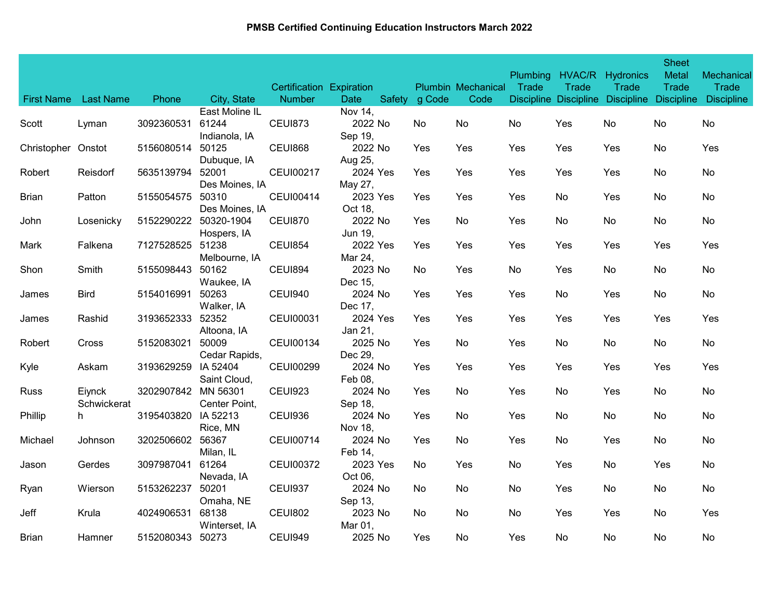| <b>First Name</b>  | <b>Last Name</b> | Phone               | City, State          | Certification Expiration<br><b>Number</b> | <b>Date</b>         | Safety g Code | <b>Plumbin Mechanical</b><br>Code | <b>Plumbing</b><br>Trade | Trade<br><b>Discipline Discipline</b> | HVAC/R Hydronics<br>Trade<br><b>Discipline</b> | <b>Sheet</b><br>Metal<br>Trade<br><b>Discipline</b> | Mechanical<br><b>Trade</b><br><b>Discipline</b> |
|--------------------|------------------|---------------------|----------------------|-------------------------------------------|---------------------|---------------|-----------------------------------|--------------------------|---------------------------------------|------------------------------------------------|-----------------------------------------------------|-------------------------------------------------|
|                    |                  |                     | East Moline IL       |                                           | Nov 14,             |               |                                   |                          |                                       |                                                |                                                     |                                                 |
| Scott              | Lyman            | 3092360531          | 61244                | <b>CEUI873</b>                            | 2022 No             | No            | No                                | No                       | Yes                                   | No                                             | No                                                  | No                                              |
|                    |                  |                     | Indianola, IA        |                                           | Sep 19,             |               |                                   |                          |                                       |                                                |                                                     |                                                 |
| Christopher Onstot |                  | 5156080514          | 50125                | <b>CEUI868</b>                            | 2022 No             | Yes           | Yes                               | Yes                      | Yes                                   | Yes                                            | No                                                  | Yes                                             |
|                    |                  |                     | Dubuque, IA          |                                           | Aug 25,             |               |                                   |                          |                                       |                                                |                                                     |                                                 |
| Robert             | Reisdorf         | 5635139794          | 52001                | <b>CEUI00217</b>                          | 2024 Yes            | Yes           | Yes                               | Yes                      | Yes                                   | Yes                                            | No                                                  | No                                              |
|                    |                  |                     | Des Moines, IA       |                                           | May 27,             |               |                                   |                          |                                       |                                                |                                                     |                                                 |
| <b>Brian</b>       | Patton           | 5155054575          | 50310                | <b>CEUI00414</b>                          | 2023 Yes            | Yes           | Yes                               | Yes                      | No                                    | Yes                                            | No                                                  | No                                              |
|                    |                  |                     | Des Moines, IA       |                                           | Oct 18,             |               |                                   |                          |                                       |                                                |                                                     |                                                 |
| John               | Losenicky        | 5152290222          | 50320-1904           | <b>CEUI870</b>                            | 2022 No             | Yes           | No                                | Yes                      | No                                    | No                                             | No                                                  | No                                              |
|                    |                  |                     | Hospers, IA          |                                           | Jun 19,             |               |                                   |                          |                                       |                                                |                                                     |                                                 |
| Mark               | Falkena          | 7127528525          | 51238                | <b>CEUI854</b>                            | 2022 Yes            | Yes           | Yes                               | Yes                      | Yes                                   | Yes                                            | Yes                                                 | Yes                                             |
|                    |                  |                     | Melbourne, IA        |                                           | Mar 24,             |               |                                   |                          |                                       |                                                |                                                     |                                                 |
| Shon               | Smith            | 5155098443          | 50162                | <b>CEUI894</b>                            | 2023 No             | No.           | Yes                               | No                       | Yes                                   | No                                             | No                                                  | No                                              |
|                    |                  |                     | Waukee, IA           |                                           | Dec 15,             |               |                                   |                          |                                       |                                                |                                                     |                                                 |
| James              | <b>Bird</b>      | 5154016991          | 50263                | CEUI940                                   | 2024 No             | Yes           | Yes                               | Yes                      | No                                    | Yes                                            | No                                                  | No                                              |
|                    |                  | 3193652333          | Walker, IA           |                                           | Dec 17,             |               |                                   |                          |                                       |                                                |                                                     |                                                 |
| James              | Rashid           |                     | 52352                | <b>CEUI00031</b>                          | 2024 Yes<br>Jan 21, | Yes           | Yes                               | Yes                      | Yes                                   | Yes                                            | Yes                                                 | Yes                                             |
| Robert             | Cross            | 5152083021          | Altoona, IA<br>50009 | CEUI00134                                 | 2025 No             | Yes           | No                                | Yes                      | No                                    | No                                             | No                                                  | No                                              |
|                    |                  |                     | Cedar Rapids,        |                                           | Dec 29,             |               |                                   |                          |                                       |                                                |                                                     |                                                 |
| Kyle               | Askam            | 3193629259          | IA 52404             | <b>CEUI00299</b>                          | 2024 No             | Yes           | Yes                               | Yes                      | Yes                                   | Yes                                            | Yes                                                 | Yes                                             |
|                    |                  |                     | Saint Cloud,         |                                           | Feb 08,             |               |                                   |                          |                                       |                                                |                                                     |                                                 |
| <b>Russ</b>        | Eiynck           | 3202907842 MN 56301 |                      | <b>CEUI923</b>                            | 2024 No             | Yes           | No                                | Yes                      | No                                    | Yes                                            | No                                                  | No                                              |
|                    | Schwickerat      |                     | Center Point,        |                                           | Sep 18,             |               |                                   |                          |                                       |                                                |                                                     |                                                 |
| Phillip            | h.               | 3195403820          | IA 52213             | CEUI936                                   | 2024 No             | Yes           | No                                | Yes                      | No                                    | No                                             | No                                                  | No                                              |
|                    |                  |                     | Rice, MN             |                                           | Nov 18,             |               |                                   |                          |                                       |                                                |                                                     |                                                 |
| Michael            | Johnson          | 3202506602          | 56367                | <b>CEUI00714</b>                          | 2024 No             | Yes           | No.                               | Yes                      | No                                    | Yes                                            | No                                                  | No.                                             |
|                    |                  |                     | Milan, IL            |                                           | Feb 14,             |               |                                   |                          |                                       |                                                |                                                     |                                                 |
| Jason              | Gerdes           | 3097987041          | 61264                | <b>CEUI00372</b>                          | 2023 Yes            | No.           | Yes                               | No                       | Yes                                   | No                                             | Yes                                                 | No.                                             |
|                    |                  |                     | Nevada, IA           |                                           | Oct 06,             |               |                                   |                          |                                       |                                                |                                                     |                                                 |
| Ryan               | Wierson          | 5153262237          | 50201                | <b>CEUI937</b>                            | 2024 No             | No            | No                                | No                       | Yes                                   | No                                             | No                                                  | No                                              |
|                    |                  |                     | Omaha, NE            |                                           | Sep 13,             |               |                                   |                          |                                       |                                                |                                                     |                                                 |
| Jeff               | Krula            | 4024906531          | 68138                | <b>CEUI802</b>                            | 2023 No             | No.           | No.                               | No                       | Yes                                   | Yes                                            | No                                                  | Yes                                             |
|                    |                  |                     | Winterset, IA        |                                           | Mar 01,             |               |                                   |                          |                                       |                                                |                                                     |                                                 |
| Brian              | Hamner           | 5152080343 50273    |                      | <b>CEUI949</b>                            | 2025 No             | Yes           | No.                               | Yes                      | No                                    | No                                             | No                                                  | No                                              |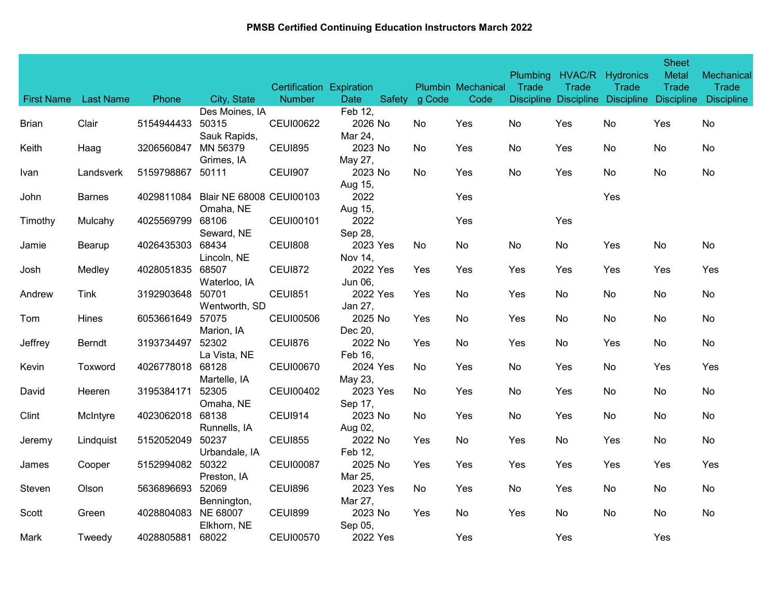| <b>First Name</b> | <b>Last Name</b> | Phone            | City, State              | Certification Expiration<br><b>Number</b> | <b>Date</b>         | Safety g Code | <b>Plumbin Mechanical</b><br>Code | <b>Plumbing</b><br>Trade | Trade | HVAC/R Hydronics<br>Trade | <b>Sheet</b><br>Metal<br><b>Trade</b> | Mechanical<br>Trade<br>Discipline Discipline Discipline Discipline Discipline |
|-------------------|------------------|------------------|--------------------------|-------------------------------------------|---------------------|---------------|-----------------------------------|--------------------------|-------|---------------------------|---------------------------------------|-------------------------------------------------------------------------------|
|                   |                  |                  | Des Moines, IA           |                                           | Feb 12,             |               |                                   |                          |       |                           |                                       |                                                                               |
| Brian             | Clair            | 5154944433       | 50315                    | <b>CEUI00622</b>                          | 2026 No             | No            | Yes                               | No                       | Yes   | No                        | Yes                                   | No                                                                            |
|                   |                  |                  | Sauk Rapids,             |                                           | Mar 24,             |               |                                   |                          |       |                           |                                       |                                                                               |
| Keith             | Haag             | 3206560847       | MN 56379                 | <b>CEUI895</b>                            | 2023 No             | No            | Yes                               | No                       | Yes   | No                        | No                                    | No                                                                            |
|                   |                  |                  | Grimes, IA               |                                           | May 27,             |               |                                   |                          |       |                           |                                       |                                                                               |
| Ivan              | Landsverk        | 5159798867       | 50111                    | <b>CEUI907</b>                            | 2023 No             | No            | Yes                               | No                       | Yes   | No                        | No                                    | No                                                                            |
| John              | <b>Barnes</b>    | 4029811084       | Blair NE 68008 CEUI00103 |                                           | Aug 15,<br>2022     |               | Yes                               |                          |       | Yes                       |                                       |                                                                               |
|                   |                  |                  | Omaha, NE                |                                           | Aug 15,             |               |                                   |                          |       |                           |                                       |                                                                               |
| Timothy           | Mulcahy          | 4025569799       | 68106                    | <b>CEUI00101</b>                          | 2022                |               | Yes                               |                          | Yes   |                           |                                       |                                                                               |
|                   |                  |                  | Seward, NE               |                                           | Sep 28,             |               |                                   |                          |       |                           |                                       |                                                                               |
| Jamie             | Bearup           | 4026435303       | 68434                    | <b>CEUI808</b>                            | 2023 Yes            | No            | No                                | No                       | No    | Yes                       | No                                    | No                                                                            |
|                   |                  |                  | Lincoln, NE              |                                           | Nov 14,             |               |                                   |                          |       |                           |                                       |                                                                               |
| Josh              | Medley           | 4028051835       | 68507                    | <b>CEUI872</b>                            | 2022 Yes            | Yes           | Yes                               | Yes                      | Yes   | Yes                       | Yes                                   | Yes                                                                           |
|                   |                  |                  | Waterloo, IA             |                                           | Jun 06,             |               |                                   |                          |       |                           |                                       |                                                                               |
| Andrew            | <b>Tink</b>      | 3192903648       | 50701                    | <b>CEUI851</b>                            | 2022 Yes            | Yes           | No                                | Yes                      | No    | No                        | No                                    | No                                                                            |
|                   | Hines            |                  | Wentworth, SD<br>57075   |                                           | Jan 27,<br>2025 No  |               |                                   |                          |       |                           |                                       |                                                                               |
| Tom               |                  | 6053661649       | Marion, IA               | <b>CEUI00506</b>                          | Dec 20,             | Yes           | No                                | Yes                      | No    | No                        | No                                    | No                                                                            |
| Jeffrey           | Berndt           | 3193734497       | 52302                    | <b>CEUI876</b>                            | 2022 No             | Yes           | No                                | Yes                      | No    | Yes                       | No                                    | No                                                                            |
|                   |                  |                  | La Vista, NE             |                                           | Feb 16,             |               |                                   |                          |       |                           |                                       |                                                                               |
| Kevin             | Toxword          | 4026778018       | 68128                    | <b>CEUI00670</b>                          | 2024 Yes            | No            | Yes                               | No                       | Yes   | No                        | Yes                                   | Yes                                                                           |
|                   |                  |                  | Martelle, IA             |                                           | May 23,             |               |                                   |                          |       |                           |                                       |                                                                               |
| David             | Heeren           | 3195384171       | 52305                    | <b>CEUI00402</b>                          | 2023 Yes            | No            | Yes                               | No                       | Yes   | No                        | No                                    | No                                                                            |
|                   |                  |                  | Omaha, NE                |                                           | Sep 17,             |               |                                   |                          |       |                           |                                       |                                                                               |
| Clint             | McIntyre         | 4023062018 68138 |                          | CEUI914                                   | 2023 No             | No.           | Yes                               | No                       | Yes   | No                        | No                                    | No                                                                            |
|                   |                  |                  | Runnells, IA             |                                           | Aug 02,             |               |                                   |                          |       |                           |                                       |                                                                               |
| Jeremy            | Lindquist        | 5152052049       | 50237                    | <b>CEUI855</b>                            | 2022 No             | Yes           | No                                | Yes                      | No    | Yes                       | No                                    | No                                                                            |
|                   |                  |                  | Urbandale, IA            |                                           | Feb 12,             |               |                                   |                          |       |                           |                                       |                                                                               |
| James             | Cooper           | 5152994082       | 50322                    | <b>CEUI00087</b>                          | 2025 No             | Yes           | Yes                               | Yes                      | Yes   | Yes                       | Yes                                   | Yes                                                                           |
| Steven            | Olson            | 5636896693       | Preston, IA<br>52069     | <b>CEUI896</b>                            | Mar 25,<br>2023 Yes | No            | Yes                               | No                       | Yes   | No                        | No                                    |                                                                               |
|                   |                  |                  | Bennington,              |                                           | Mar 27,             |               |                                   |                          |       |                           |                                       | No                                                                            |
| Scott             | Green            | 4028804083       | NE 68007                 | <b>CEUI899</b>                            | 2023 No             | Yes           | No                                | Yes                      | No    | No                        | No                                    | No                                                                            |
|                   |                  |                  | Elkhorn, NE              |                                           | Sep 05,             |               |                                   |                          |       |                           |                                       |                                                                               |
| Mark              | Tweedy           | 4028805881       | 68022                    | <b>CEUI00570</b>                          | 2022 Yes            |               | Yes                               |                          | Yes   |                           | Yes                                   |                                                                               |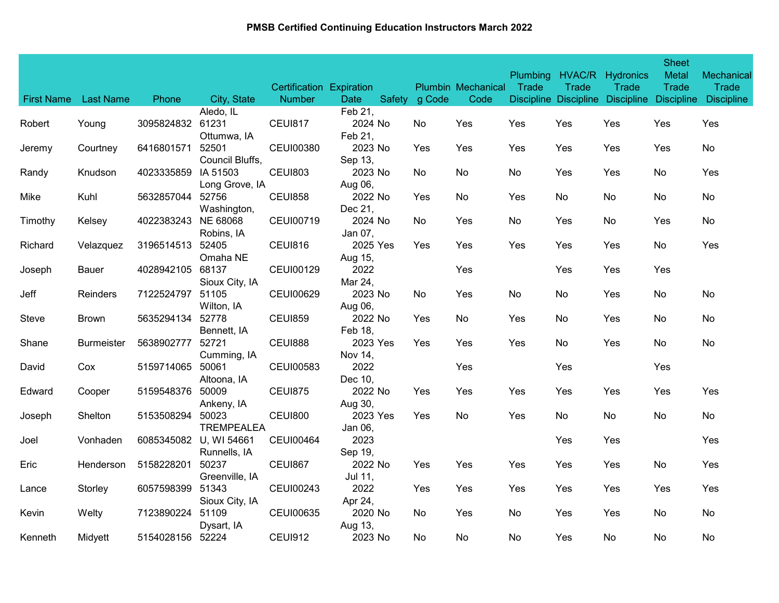| <b>First Name</b> | <b>Last Name</b>  | Phone                  | City, State                | Certification Expiration<br><b>Number</b> | Date                | Safety g Code | <b>Plumbin Mechanical</b><br>Code | <b>Plumbing</b><br>Trade | Trade<br>Discipline Discipline | HVAC/R Hydronics<br>Trade<br><b>Discipline</b> | <b>Sheet</b><br><b>Metal</b><br><b>Trade</b><br><b>Discipline</b> | Mechanical<br><b>Trade</b><br><b>Discipline</b> |
|-------------------|-------------------|------------------------|----------------------------|-------------------------------------------|---------------------|---------------|-----------------------------------|--------------------------|--------------------------------|------------------------------------------------|-------------------------------------------------------------------|-------------------------------------------------|
|                   |                   |                        | Aledo, IL                  |                                           | Feb 21,             |               |                                   |                          |                                |                                                |                                                                   |                                                 |
| Robert            | Young             | 3095824832 61231       | Ottumwa, IA                | <b>CEUI817</b>                            | 2024 No<br>Feb 21,  | No.           | Yes                               | Yes                      | Yes                            | Yes                                            | Yes                                                               | Yes                                             |
| Jeremy            | Courtney          | 6416801571             | 52501<br>Council Bluffs,   | <b>CEUI00380</b>                          | 2023 No<br>Sep 13,  | Yes           | Yes                               | Yes                      | Yes                            | Yes                                            | Yes                                                               | No                                              |
| Randy             | Knudson           | 4023335859             | IA 51503<br>Long Grove, IA | <b>CEUI803</b>                            | 2023 No<br>Aug 06,  | No.           | No                                | No                       | Yes                            | Yes                                            | No                                                                | Yes                                             |
| Mike              | Kuhl              | 5632857044             | 52756<br>Washington,       | <b>CEUI858</b>                            | 2022 No<br>Dec 21,  | Yes           | No                                | Yes                      | No                             | No                                             | No                                                                | No                                              |
| Timothy           | Kelsey            | 4022383243 NE 68068    | Robins, IA                 | <b>CEUI00719</b>                          | 2024 No<br>Jan 07,  | No            | Yes                               | No                       | Yes                            | No                                             | Yes                                                               | No                                              |
| Richard           | Velazquez         | 3196514513             | 52405<br>Omaha NE          | <b>CEUI816</b>                            | 2025 Yes<br>Aug 15, | Yes           | Yes                               | Yes                      | Yes                            | Yes                                            | No                                                                | Yes                                             |
| Joseph            | <b>Bauer</b>      | 4028942105             | 68137<br>Sioux City, IA    | CEUI00129                                 | 2022<br>Mar 24,     |               | Yes                               |                          | Yes                            | Yes                                            | Yes                                                               |                                                 |
| Jeff              | <b>Reinders</b>   | 7122524797             | 51105<br>Wilton, IA        | <b>CEUI00629</b>                          | 2023 No<br>Aug 06,  | No.           | Yes                               | No                       | No                             | Yes                                            | No                                                                | No                                              |
| Steve             | <b>Brown</b>      | 5635294134             | 52778<br>Bennett, IA       | <b>CEUI859</b>                            | 2022 No<br>Feb 18.  | Yes           | No                                | Yes                      | No                             | Yes                                            | No                                                                | No                                              |
| Shane             | <b>Burmeister</b> | 5638902777             | 52721<br>Cumming, IA       | <b>CEUI888</b>                            | 2023 Yes<br>Nov 14, | Yes           | Yes                               | Yes                      | No                             | Yes                                            | No                                                                | No                                              |
| David             | Cox               | 5159714065             | 50061<br>Altoona, IA       | <b>CEUI00583</b>                          | 2022<br>Dec 10,     |               | Yes                               |                          | Yes                            |                                                | Yes                                                               |                                                 |
| Edward            | Cooper            | 5159548376             | 50009<br>Ankeny, IA        | <b>CEUI875</b>                            | 2022 No<br>Aug 30,  | Yes           | Yes                               | Yes                      | Yes                            | Yes                                            | Yes                                                               | Yes                                             |
| Joseph            | Shelton           | 5153508294             | 50023<br><b>TREMPEALEA</b> | <b>CEUI800</b>                            | 2023 Yes<br>Jan 06, | Yes           | No                                | Yes                      | No                             | No                                             | No                                                                | No                                              |
| Joel              | Vonhaden          | 6085345082 U, WI 54661 | Runnells, IA               | <b>CEUI00464</b>                          | 2023<br>Sep 19,     |               |                                   |                          | Yes                            | Yes                                            |                                                                   | <b>Yes</b>                                      |
| Eric              | Henderson         | 5158228201             | 50237<br>Greenville, IA    | <b>CEUI867</b>                            | 2022 No<br>Jul 11,  | Yes           | Yes                               | Yes                      | Yes                            | Yes                                            | No                                                                | Yes                                             |
| Lance             | Storley           | 6057598399             | 51343<br>Sioux City, IA    | <b>CEUI00243</b>                          | 2022<br>Apr 24,     | Yes           | Yes                               | Yes                      | Yes                            | Yes                                            | Yes                                                               | Yes                                             |
| Kevin             | Welty             | 7123890224             | 51109<br>Dysart, IA        | <b>CEUI00635</b>                          | 2020 No<br>Aug 13,  | No            | Yes                               | No                       | Yes                            | Yes                                            | No                                                                | No                                              |
| Kenneth           | Midyett           | 5154028156 52224       |                            | <b>CEUI912</b>                            | 2023 No             | No            | No                                | No                       | Yes                            | No                                             | No                                                                | No                                              |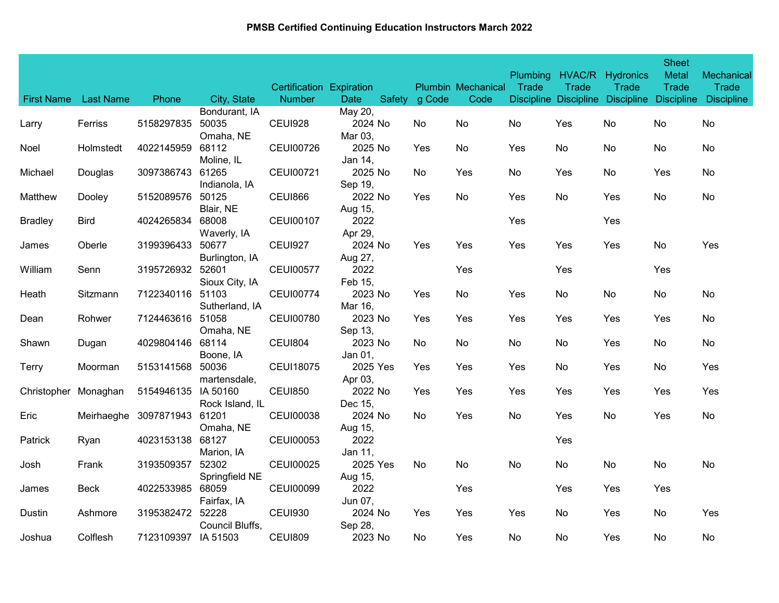| <b>First Name</b> | <b>Last Name</b> | Phone                       | City, State                 | <b>Certification Expiration</b><br><b>Number</b> | <b>Date</b>         | Safety g Code | <b>Plumbin Mechanical</b><br>Code | <b>Plumbing</b><br>Trade | Trade | HVAC/R Hydronics<br>Trade | <b>Sheet</b><br><b>Metal</b><br><b>Trade</b> | Mechanical<br>Trade<br>Discipline Discipline Discipline Discipline Discipline |
|-------------------|------------------|-----------------------------|-----------------------------|--------------------------------------------------|---------------------|---------------|-----------------------------------|--------------------------|-------|---------------------------|----------------------------------------------|-------------------------------------------------------------------------------|
|                   |                  |                             | Bondurant, IA               |                                                  | May 20,             |               |                                   |                          |       |                           |                                              |                                                                               |
| Larry             | Ferriss          | 5158297835                  | 50035<br>Omaha, NE          | CEUI928                                          | 2024 No<br>Mar 03,  | No            | No                                | No                       | Yes   | No                        | No                                           | No                                                                            |
| Noel              | Holmstedt        | 4022145959                  | 68112<br>Moline, IL         | <b>CEUI00726</b>                                 | 2025 No<br>Jan 14,  | Yes           | No                                | Yes                      | No    | No                        | No                                           | No                                                                            |
| Michael           | Douglas          | 3097386743                  | 61265<br>Indianola, IA      | <b>CEUI00721</b>                                 | 2025 No<br>Sep 19,  | No            | Yes                               | No                       | Yes   | No                        | Yes                                          | No                                                                            |
| Matthew           | Dooley           | 5152089576                  | 50125<br>Blair, NE          | CEUI866                                          | 2022 No<br>Aug 15,  | Yes           | No                                | Yes                      | No    | Yes                       | No                                           | No                                                                            |
| <b>Bradley</b>    | <b>Bird</b>      | 4024265834                  | 68008<br>Waverly, IA        | <b>CEUI00107</b>                                 | 2022<br>Apr 29,     |               |                                   | Yes                      |       | Yes                       |                                              |                                                                               |
| James             | Oberle           | 3199396433                  | 50677<br>Burlington, IA     | <b>CEUI927</b>                                   | 2024 No<br>Aug 27,  | Yes           | Yes                               | Yes                      | Yes   | Yes                       | No                                           | Yes                                                                           |
| William           | Senn             | 3195726932 52601            | Sioux City, IA              | <b>CEUI00577</b>                                 | 2022<br>Feb 15,     |               | Yes                               |                          | Yes   |                           | Yes                                          |                                                                               |
| Heath             | Sitzmann         | 7122340116                  | 51103<br>Sutherland, IA     | <b>CEUI00774</b>                                 | 2023 No<br>Mar 16,  | Yes           | No                                | Yes                      | No    | No                        | No                                           | No                                                                            |
| Dean              | Rohwer           | 7124463616                  | 51058<br>Omaha, NE          | <b>CEUI00780</b>                                 | 2023 No<br>Sep 13,  | Yes           | Yes                               | Yes                      | Yes   | Yes                       | Yes                                          | No                                                                            |
| Shawn             | Dugan            | 4029804146                  | 68114<br>Boone, IA          | <b>CEUI804</b>                                   | 2023 No<br>Jan 01,  | No            | No                                | No                       | No    | Yes                       | No                                           | No                                                                            |
| Terry             | Moorman          | 5153141568                  | 50036<br>martensdale,       | <b>CEUI18075</b>                                 | 2025 Yes<br>Apr 03, | Yes           | Yes                               | Yes                      | No    | Yes                       | No                                           | <b>Yes</b>                                                                    |
| Christopher       | Monaghan         | 5154946135                  | IA 50160<br>Rock Island, IL | <b>CEUI850</b>                                   | 2022 No<br>Dec 15,  | Yes           | Yes                               | Yes                      | Yes   | Yes                       | Yes                                          | Yes                                                                           |
| Eric              |                  | Meirhaeghe 3097871943 61201 | Omaha, NE                   | <b>CEUI00038</b>                                 | 2024 No<br>Aug 15,  | No            | Yes                               | No                       | Yes   | No                        | Yes                                          | No                                                                            |
| <b>Patrick</b>    | Ryan             | 4023153138                  | 68127<br>Marion, IA         | <b>CEUI00053</b>                                 | 2022<br>Jan 11,     |               |                                   |                          | Yes   |                           |                                              |                                                                               |
| Josh              | Frank            | 3193509357                  | 52302<br>Springfield NE     | <b>CEUI00025</b>                                 | 2025 Yes<br>Aug 15, | No.           | No                                | No                       | No    | No                        | No                                           | No                                                                            |
| James             | <b>Beck</b>      | 4022533985                  | 68059<br>Fairfax, IA        | <b>CEUI00099</b>                                 | 2022<br>Jun 07,     |               | Yes                               |                          | Yes   | Yes                       | Yes                                          |                                                                               |
| Dustin            | Ashmore          | 3195382472                  | 52228<br>Council Bluffs,    | <b>CEUI930</b>                                   | 2024 No<br>Sep 28,  | Yes           | Yes                               | Yes                      | No    | Yes                       | No                                           | Yes                                                                           |
| Joshua            | Colflesh         | 7123109397 IA 51503         |                             | <b>CEUI809</b>                                   | 2023 No             | No            | Yes                               | No                       | No    | Yes                       | No                                           | No                                                                            |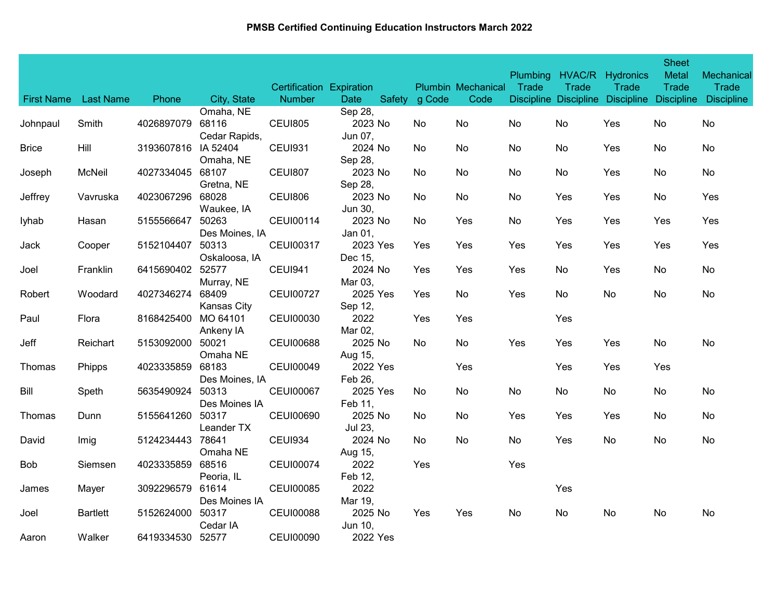|              | First Name Last Name | Phone            | City, State        | Certification Expiration<br><b>Number</b> | Date     | Safety g Code | <b>Plumbin Mechanical</b><br>Code | <b>Plumbing</b><br>Trade | Trade | HVAC/R Hydronics<br>Trade | <b>Sheet</b><br><b>Metal</b><br><b>Trade</b> | Mechanical<br>Trade<br>Discipline Discipline Discipline Discipline Discipline |
|--------------|----------------------|------------------|--------------------|-------------------------------------------|----------|---------------|-----------------------------------|--------------------------|-------|---------------------------|----------------------------------------------|-------------------------------------------------------------------------------|
|              |                      |                  | Omaha, NE          |                                           | Sep 28,  |               |                                   |                          |       |                           |                                              |                                                                               |
| Johnpaul     | Smith                | 4026897079       | 68116              | <b>CEUI805</b>                            | 2023 No  | No.           | No                                | No                       | No    | Yes                       | No                                           | No                                                                            |
|              |                      |                  | Cedar Rapids,      |                                           | Jun 07,  |               |                                   |                          |       |                           |                                              |                                                                               |
| <b>Brice</b> | Hill                 | 3193607816       | IA 52404           | <b>CEUI931</b>                            | 2024 No  | No            | No                                | No                       | No    | Yes                       | No                                           | No                                                                            |
|              |                      |                  | Omaha, NE          |                                           | Sep 28,  |               |                                   |                          |       |                           |                                              |                                                                               |
| Joseph       | McNeil               | 4027334045       | 68107              | <b>CEUI807</b>                            | 2023 No  | No.           | No                                | No                       | No    | Yes                       | No                                           | No                                                                            |
|              |                      |                  | Gretna, NE         |                                           | Sep 28,  |               |                                   |                          |       |                           |                                              |                                                                               |
| Jeffrey      | Vavruska             | 4023067296       | 68028              | <b>CEUI806</b>                            | 2023 No  | No.           | No                                | No                       | Yes   | Yes                       | No                                           | Yes                                                                           |
|              |                      |                  | Waukee, IA         |                                           | Jun 30,  |               |                                   |                          |       |                           |                                              |                                                                               |
| lyhab        | Hasan                | 5155566647       | 50263              | CEUI00114                                 | 2023 No  | No.           | Yes                               | No                       | Yes   | Yes                       | Yes                                          | Yes                                                                           |
|              |                      |                  | Des Moines, IA     |                                           | Jan 01,  |               |                                   |                          |       |                           |                                              |                                                                               |
| Jack         | Cooper               | 5152104407       | 50313              | <b>CEUI00317</b>                          | 2023 Yes | Yes           | Yes                               | Yes                      | Yes   | Yes                       | Yes                                          | <b>Yes</b>                                                                    |
|              |                      |                  | Oskaloosa, IA      |                                           | Dec 15,  |               |                                   |                          |       |                           |                                              |                                                                               |
| Joel         | Franklin             | 6415690402 52577 |                    | <b>CEUI941</b>                            | 2024 No  | Yes           | Yes                               | Yes                      | No    | Yes                       | No                                           | No                                                                            |
|              |                      |                  | Murray, NE         |                                           | Mar 03,  |               |                                   |                          |       |                           |                                              |                                                                               |
| Robert       | Woodard              | 4027346274       | 68409              | <b>CEUI00727</b>                          | 2025 Yes | Yes           | No                                | Yes                      | No    | No                        | No                                           | No                                                                            |
|              |                      |                  | <b>Kansas City</b> |                                           | Sep 12,  |               |                                   |                          |       |                           |                                              |                                                                               |
| Paul         | Flora                | 8168425400       | MO 64101           | <b>CEUI00030</b>                          | 2022     | Yes           | Yes                               |                          | Yes   |                           |                                              |                                                                               |
|              |                      |                  | Ankeny IA          |                                           | Mar 02,  |               |                                   |                          |       |                           |                                              |                                                                               |
| Jeff         | Reichart             | 5153092000       | 50021              | <b>CEUI00688</b>                          | 2025 No  | No            | No                                | Yes                      | Yes   | Yes                       | No                                           | No                                                                            |
|              |                      |                  | Omaha NE           |                                           | Aug 15,  |               |                                   |                          |       |                           |                                              |                                                                               |
| Thomas       | Phipps               | 4023335859       | 68183              | <b>CEUI00049</b>                          | 2022 Yes |               | Yes                               |                          | Yes   | Yes                       | Yes                                          |                                                                               |
|              |                      |                  | Des Moines, IA     |                                           | Feb 26,  |               |                                   |                          |       |                           |                                              |                                                                               |
| Bill         | Speth                | 5635490924       | 50313              | <b>CEUI00067</b>                          | 2025 Yes | No            | No                                | No                       | No    | No                        | No                                           | No                                                                            |
|              |                      |                  | Des Moines IA      |                                           | Feb 11,  |               |                                   |                          |       |                           |                                              |                                                                               |
| Thomas       | Dunn                 | 5155641260       | 50317              | <b>CEUI00690</b>                          | 2025 No  | No.           | No                                | Yes                      | Yes   | Yes                       | No                                           | No                                                                            |
|              |                      |                  | Leander TX         |                                           | Jul 23,  |               |                                   |                          |       |                           |                                              |                                                                               |
| David        | Imig                 | 5124234443       | 78641              | <b>CEUI934</b>                            | 2024 No  | No.           | No                                | No                       | Yes   | No                        | No                                           | No                                                                            |
|              |                      |                  | Omaha NE           |                                           | Aug 15,  |               |                                   |                          |       |                           |                                              |                                                                               |
| Bob          | Siemsen              | 4023335859       | 68516              | <b>CEUI00074</b>                          | 2022     | Yes           |                                   | Yes                      |       |                           |                                              |                                                                               |
|              |                      |                  | Peoria, IL         |                                           | Feb 12,  |               |                                   |                          |       |                           |                                              |                                                                               |
| James        | Mayer                | 3092296579       | 61614              | <b>CEUI00085</b>                          | 2022     |               |                                   |                          | Yes   |                           |                                              |                                                                               |
|              |                      |                  | Des Moines IA      |                                           | Mar 19,  |               |                                   |                          |       |                           |                                              |                                                                               |
| Joel         | <b>Bartlett</b>      | 5152624000       | 50317              | <b>CEUI00088</b>                          | 2025 No  | Yes           | Yes                               | No                       | No    | No                        | No                                           | No                                                                            |
|              |                      |                  | Cedar IA           |                                           | Jun 10,  |               |                                   |                          |       |                           |                                              |                                                                               |
| Aaron        | Walker               | 6419334530 52577 |                    | <b>CEUI00090</b>                          | 2022 Yes |               |                                   |                          |       |                           |                                              |                                                                               |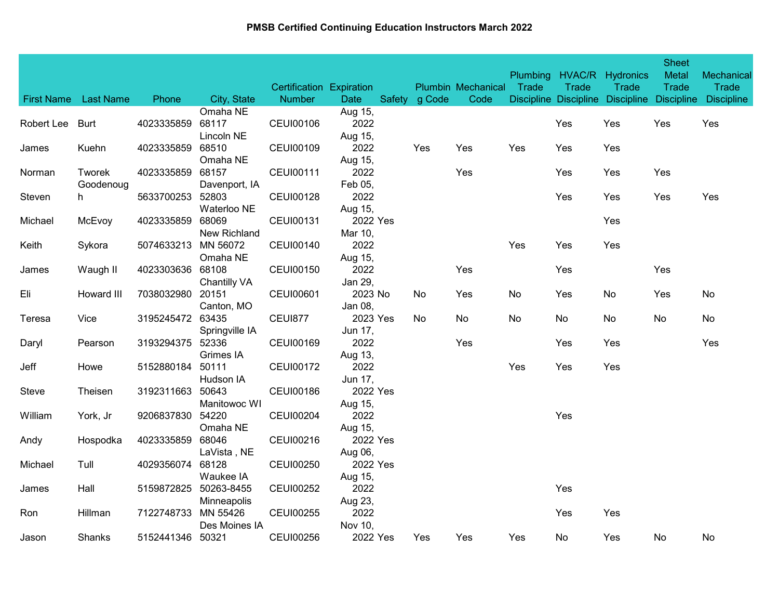|            |                      |                  |                                 | Certification Expiration |                            |               | <b>Plumbin Mechanical</b> | <b>Plumbing</b><br>Trade | Trade | HVAC/R Hydronics<br>Trade                   | <b>Sheet</b><br><b>Metal</b><br><b>Trade</b> | Mechanical<br><b>Trade</b> |
|------------|----------------------|------------------|---------------------------------|--------------------------|----------------------------|---------------|---------------------------|--------------------------|-------|---------------------------------------------|----------------------------------------------|----------------------------|
|            | First Name Last Name | Phone            | City, State                     | <b>Number</b>            | Date                       | Safety g Code | Code                      |                          |       | Discipline Discipline Discipline Discipline |                                              | <b>Discipline</b>          |
| Robert Lee | Burt                 | 4023335859       | Omaha NE<br>68117<br>Lincoln NE | <b>CEUI00106</b>         | Aug 15,<br>2022<br>Aug 15, |               |                           |                          | Yes   | Yes                                         | Yes                                          | Yes                        |
| James      | Kuehn                | 4023335859       | 68510<br>Omaha NE               | <b>CEUI00109</b>         | 2022<br>Aug 15,            | Yes           | Yes                       | Yes                      | Yes   | Yes                                         |                                              |                            |
| Norman     | Tworek<br>Goodenoug  | 4023335859       | 68157<br>Davenport, IA          | <b>CEUI00111</b>         | 2022<br>Feb 05,            |               | Yes                       |                          | Yes   | Yes                                         | Yes                                          |                            |
| Steven     | h.                   | 5633700253       | 52803<br>Waterloo NE            | <b>CEUI00128</b>         | 2022<br>Aug 15,            |               |                           |                          | Yes   | Yes                                         | Yes                                          | Yes                        |
| Michael    | McEvoy               | 4023335859       | 68069<br>New Richland           | <b>CEUI00131</b>         | 2022 Yes<br>Mar 10,        |               |                           |                          |       | Yes                                         |                                              |                            |
| Keith      | Sykora               | 5074633213       | MN 56072<br>Omaha NE            | <b>CEUI00140</b>         | 2022<br>Aug 15,            |               |                           | Yes                      | Yes   | Yes                                         |                                              |                            |
| James      | Waugh II             | 4023303636 68108 | Chantilly VA                    | <b>CEUI00150</b>         | 2022<br>Jan 29,            |               | Yes                       |                          | Yes   |                                             | Yes                                          |                            |
| Eli        | Howard III           | 7038032980       | 20151<br>Canton, MO             | <b>CEUI00601</b>         | 2023 No<br>Jan 08,         | No.           | Yes                       | No                       | Yes   | No                                          | Yes                                          | No                         |
| Teresa     | Vice                 | 3195245472 63435 | Springville IA                  | <b>CEUI877</b>           | 2023 Yes<br>Jun 17,        | No.           | No                        | No                       | No    | No                                          | No                                           | No                         |
| Daryl      | Pearson              | 3193294375       | 52336<br>Grimes IA              | <b>CEUI00169</b>         | 2022<br>Aug 13,            |               | Yes                       |                          | Yes   | Yes                                         |                                              | Yes                        |
| Jeff       | Howe                 | 5152880184       | 50111<br>Hudson IA              | <b>CEUI00172</b>         | 2022<br>Jun 17,            |               |                           | Yes                      | Yes   | Yes                                         |                                              |                            |
| Steve      | Theisen              | 3192311663       | 50643<br>Manitowoc WI           | <b>CEUI00186</b>         | 2022 Yes<br>Aug 15,        |               |                           |                          |       |                                             |                                              |                            |
| William    | York, Jr             | 9206837830 54220 | Omaha NE                        | <b>CEUI00204</b>         | 2022<br>Aug 15,            |               |                           |                          | Yes   |                                             |                                              |                            |
| Andy       | Hospodka             | 4023335859       | 68046<br>LaVista, NE            | CEUI00216                | 2022 Yes<br>Aug 06,        |               |                           |                          |       |                                             |                                              |                            |
| Michael    | Tull                 | 4029356074       | 68128<br>Waukee IA              | <b>CEUI00250</b>         | 2022 Yes<br>Aug 15,        |               |                           |                          |       |                                             |                                              |                            |
| James      | Hall                 | 5159872825       | 50263-8455<br>Minneapolis       | <b>CEUI00252</b>         | 2022<br>Aug 23,            |               |                           |                          | Yes   |                                             |                                              |                            |
| Ron        | Hillman              | 7122748733       | MN 55426<br>Des Moines IA       | <b>CEUI00255</b>         | 2022<br>Nov 10,            |               |                           |                          | Yes   | Yes                                         |                                              |                            |
| Jason      | Shanks               | 5152441346 50321 |                                 | <b>CEUI00256</b>         | 2022 Yes                   | Yes           | <b>Yes</b>                | Yes                      | No    | Yes                                         | No.                                          | No.                        |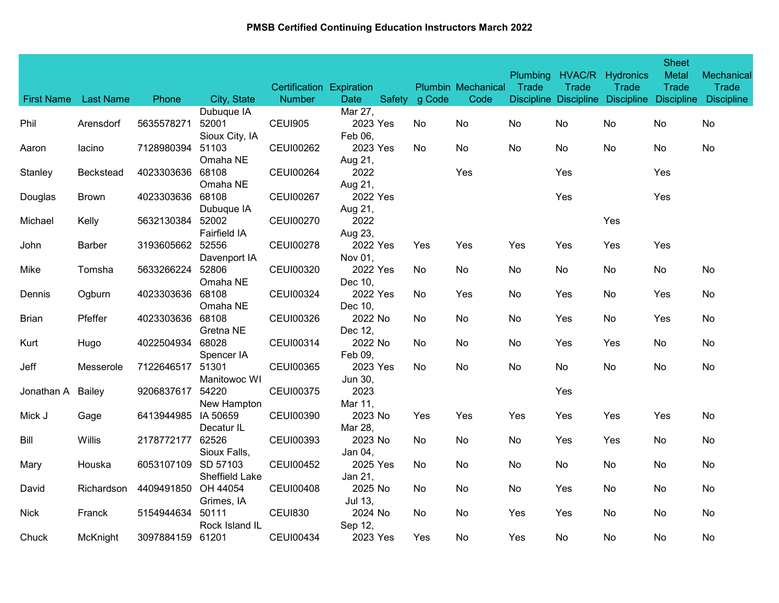|                   |                  |                     |                           | Certification Expiration |                        |               | <b>Plumbin Mechanical</b> | <b>Plumbing</b><br>Trade | Trade                 | HVAC/R Hydronics<br>Trade | <b>Sheet</b><br><b>Metal</b><br><b>Trade</b> | Mechanical<br><b>Trade</b> |
|-------------------|------------------|---------------------|---------------------------|--------------------------|------------------------|---------------|---------------------------|--------------------------|-----------------------|---------------------------|----------------------------------------------|----------------------------|
| <b>First Name</b> | <b>Last Name</b> | Phone               | City, State<br>Dubuque IA | <b>Number</b>            | <b>Date</b><br>Mar 27, | Safety g Code | Code                      |                          | Discipline Discipline | Discipline Discipline     |                                              | <b>Discipline</b>          |
| Phil              | Arensdorf        | 5635578271          | 52001<br>Sioux City, IA   | <b>CEUI905</b>           | 2023 Yes<br>Feb 06,    | No.           | No                        | No                       | No                    | No                        | No.                                          | No                         |
| Aaron             | lacino           | 7128980394          | 51103<br>Omaha NE         | <b>CEUI00262</b>         | 2023 Yes<br>Aug 21,    | No.           | No.                       | No                       | No                    | No                        | No                                           | No                         |
| Stanley           | <b>Beckstead</b> | 4023303636          | 68108<br>Omaha NE         | <b>CEUI00264</b>         | 2022<br>Aug 21,        |               | Yes                       |                          | Yes                   |                           | Yes                                          |                            |
| Douglas           | <b>Brown</b>     | 4023303636 68108    | Dubuque IA                | <b>CEUI00267</b>         | 2022 Yes<br>Aug 21,    |               |                           |                          | Yes                   |                           | Yes                                          |                            |
| Michael           | Kelly            | 5632130384          | 52002<br>Fairfield IA     | <b>CEUI00270</b>         | 2022<br>Aug 23,        |               |                           |                          |                       | Yes                       |                                              |                            |
| John              | <b>Barber</b>    | 3193605662          | 52556<br>Davenport IA     | <b>CEUI00278</b>         | 2022 Yes<br>Nov 01,    | Yes           | Yes                       | Yes                      | Yes                   | Yes                       | Yes                                          |                            |
| Mike              | Tomsha           | 5633266224 52806    | Omaha NE                  | <b>CEUI00320</b>         | 2022 Yes<br>Dec 10,    | No.           | No.                       | No                       | No                    | No                        | No                                           | No                         |
| Dennis            | Ogburn           | 4023303636          | 68108<br>Omaha NE         | <b>CEUI00324</b>         | 2022 Yes<br>Dec 10,    | No.           | Yes                       | No                       | Yes                   | No                        | Yes                                          | No                         |
| <b>Brian</b>      | Pfeffer          | 4023303636          | 68108<br>Gretna NE        | CEUI00326                | 2022 No<br>Dec 12,     | No.           | No                        | No                       | Yes                   | No                        | Yes                                          | No                         |
| Kurt              | Hugo             | 4022504934          | 68028<br>Spencer IA       | <b>CEUI00314</b>         | 2022 No<br>Feb 09,     | No            | No                        | No                       | Yes                   | Yes                       | No                                           | No                         |
| Jeff              | Messerole        | 7122646517          | 51301<br>Manitowoc WI     | <b>CEUI00365</b>         | 2023 Yes<br>Jun 30,    | No.           | No                        | No                       | No                    | No                        | No                                           | No                         |
| Jonathan A        | Bailey           | 9206837617          | 54220<br>New Hampton      | <b>CEUI00375</b>         | 2023<br>Mar 11,        |               |                           |                          | Yes                   |                           |                                              |                            |
| Mick J            | Gage             | 6413944985 IA 50659 | Decatur IL                | <b>CEUI00390</b>         | 2023 No<br>Mar 28,     | Yes           | Yes                       | Yes                      | Yes                   | Yes                       | Yes                                          | No                         |
| Bill              | Willis           | 2178772177          | 62526<br>Sioux Falls,     | <b>CEUI00393</b>         | 2023 No<br>Jan 04,     | No.           | No.                       | No                       | Yes                   | Yes                       | No                                           | No                         |
| Mary              | Houska           | 6053107109 SD 57103 | Sheffield Lake            | <b>CEUI00452</b>         | 2025 Yes<br>Jan 21,    | No.           | No.                       | No                       | No                    | No                        | No                                           | No                         |
| David             | Richardson       | 4409491850          | OH 44054<br>Grimes, IA    | <b>CEUI00408</b>         | 2025 No<br>Jul 13,     | No.           | No.                       | No                       | Yes                   | No                        | No                                           | No                         |
| <b>Nick</b>       | Franck           | 5154944634          | 50111<br>Rock Island IL   | <b>CEUI830</b>           | 2024 No<br>Sep 12,     | No.           | No                        | Yes                      | Yes                   | No                        | No                                           | No                         |
| Chuck             | McKnight         | 3097884159 61201    |                           | <b>CEUI00434</b>         | 2023 Yes               | Yes           | No                        | Yes                      | No                    | No                        | No                                           | No                         |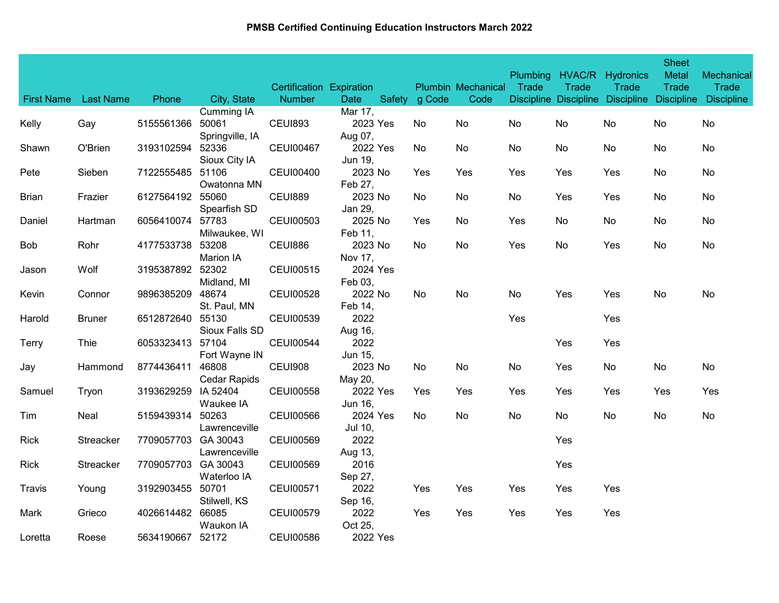| <b>First Name</b> | <b>Last Name</b> | Phone            | City, State         | Certification Expiration<br><b>Number</b> | Date     | Safety g Code | <b>Plumbin Mechanical</b><br>Code | <b>Plumbing</b><br>Trade | Trade | HVAC/R Hydronics<br>Trade | <b>Sheet</b><br><b>Metal</b><br><b>Trade</b> | Mechanical<br>Trade<br>Discipline Discipline Discipline Discipline Discipline |
|-------------------|------------------|------------------|---------------------|-------------------------------------------|----------|---------------|-----------------------------------|--------------------------|-------|---------------------------|----------------------------------------------|-------------------------------------------------------------------------------|
|                   |                  |                  | Cumming IA          |                                           | Mar 17,  |               |                                   |                          |       |                           |                                              |                                                                               |
| Kelly             | Gay              | 5155561366       | 50061               | <b>CEUI893</b>                            | 2023 Yes | No.           | No                                | No                       | No    | No                        | No                                           | No                                                                            |
|                   |                  |                  | Springville, IA     |                                           | Aug 07,  |               |                                   |                          |       |                           |                                              |                                                                               |
| Shawn             | O'Brien          | 3193102594       | 52336               | <b>CEUI00467</b>                          | 2022 Yes | No            | No                                | No                       | No    | No                        | No                                           | No                                                                            |
|                   |                  |                  | Sioux City IA       |                                           | Jun 19,  |               |                                   |                          |       |                           |                                              |                                                                               |
| Pete              | Sieben           | 7122555485       | 51106               | <b>CEUI00400</b>                          | 2023 No  | Yes           | Yes                               | Yes                      | Yes   | Yes                       | No                                           | No                                                                            |
|                   |                  |                  | Owatonna MN         |                                           | Feb 27,  |               |                                   |                          |       |                           |                                              |                                                                               |
| <b>Brian</b>      | Frazier          | 6127564192       | 55060               | <b>CEUI889</b>                            | 2023 No  | No            | No                                | No                       | Yes   | Yes                       | No                                           | No                                                                            |
|                   |                  |                  | Spearfish SD        |                                           | Jan 29,  |               |                                   |                          |       |                           |                                              |                                                                               |
| Daniel            | Hartman          | 6056410074       | 57783               | <b>CEUI00503</b>                          | 2025 No  | Yes           | No                                | Yes                      | No.   | No                        | No.                                          | No                                                                            |
|                   |                  |                  | Milwaukee, WI       |                                           | Feb 11,  |               |                                   |                          |       |                           |                                              |                                                                               |
| Bob               | Rohr             | 4177533738       | 53208               | <b>CEUI886</b>                            | 2023 No  | No.           | No.                               | Yes                      | No.   | Yes                       | No.                                          | No                                                                            |
|                   |                  |                  | Marion IA           |                                           | Nov 17,  |               |                                   |                          |       |                           |                                              |                                                                               |
| Jason             | Wolf             | 3195387892 52302 |                     | <b>CEUI00515</b>                          | 2024 Yes |               |                                   |                          |       |                           |                                              |                                                                               |
|                   |                  |                  | Midland, MI         |                                           | Feb 03,  |               |                                   |                          |       |                           |                                              |                                                                               |
| Kevin             | Connor           | 9896385209       | 48674               | <b>CEUI00528</b>                          | 2022 No  | No.           | No                                | No                       | Yes   | Yes                       | No                                           | No                                                                            |
|                   |                  |                  | St. Paul, MN        |                                           | Feb 14,  |               |                                   |                          |       |                           |                                              |                                                                               |
| Harold            | <b>Bruner</b>    | 6512872640       | 55130               | <b>CEUI00539</b>                          | 2022     |               |                                   | Yes                      |       | Yes                       |                                              |                                                                               |
|                   |                  |                  | Sioux Falls SD      |                                           | Aug 16,  |               |                                   |                          |       |                           |                                              |                                                                               |
| Terry             | Thie             | 6053323413       | 57104               | <b>CEUI00544</b>                          | 2022     |               |                                   |                          | Yes   | Yes                       |                                              |                                                                               |
|                   |                  |                  | Fort Wayne IN       |                                           | Jun 15,  |               |                                   |                          |       |                           |                                              |                                                                               |
| Jay               | Hammond          | 8774436411       | 46808               | <b>CEUI908</b>                            | 2023 No  | No.           | No                                | No                       | Yes   | No                        | No                                           | No                                                                            |
|                   |                  |                  | <b>Cedar Rapids</b> |                                           | May 20,  |               |                                   |                          |       |                           |                                              |                                                                               |
| Samuel            | Tryon            | 3193629259       | IA 52404            | <b>CEUI00558</b>                          | 2022 Yes | Yes           | Yes                               | Yes                      | Yes   | Yes                       | Yes                                          | Yes                                                                           |
|                   |                  |                  | Waukee IA           |                                           | Jun 16,  |               |                                   |                          |       |                           |                                              |                                                                               |
| Tim               | Neal             | 5159439314       | 50263               | <b>CEUI00566</b>                          | 2024 Yes | No            | No                                | No                       | No    | No                        | No                                           | No                                                                            |
|                   |                  |                  | Lawrenceville       |                                           | Jul 10,  |               |                                   |                          |       |                           |                                              |                                                                               |
| Rick              | Streacker        | 7709057703       | GA 30043            | <b>CEUI00569</b>                          | 2022     |               |                                   |                          | Yes   |                           |                                              |                                                                               |
|                   |                  |                  | Lawrenceville       |                                           | Aug 13,  |               |                                   |                          |       |                           |                                              |                                                                               |
| <b>Rick</b>       | Streacker        | 7709057703       | GA 30043            | <b>CEUI00569</b>                          | 2016     |               |                                   |                          | Yes   |                           |                                              |                                                                               |
|                   |                  |                  | Waterloo IA         |                                           | Sep 27,  |               |                                   |                          |       |                           |                                              |                                                                               |
| Travis            | Young            | 3192903455       | 50701               | <b>CEUI00571</b>                          | 2022     | Yes           | Yes                               | Yes                      | Yes   | Yes                       |                                              |                                                                               |
|                   |                  |                  | Stilwell, KS        |                                           | Sep 16,  |               |                                   |                          |       |                           |                                              |                                                                               |
| Mark              | Grieco           | 4026614482       | 66085               | <b>CEUI00579</b>                          | 2022     | Yes           | Yes                               | Yes                      | Yes   | Yes                       |                                              |                                                                               |
|                   |                  |                  | Waukon IA           |                                           | Oct 25,  |               |                                   |                          |       |                           |                                              |                                                                               |
| Loretta           | Roese            | 5634190667       | 52172               | <b>CEUI00586</b>                          | 2022 Yes |               |                                   |                          |       |                           |                                              |                                                                               |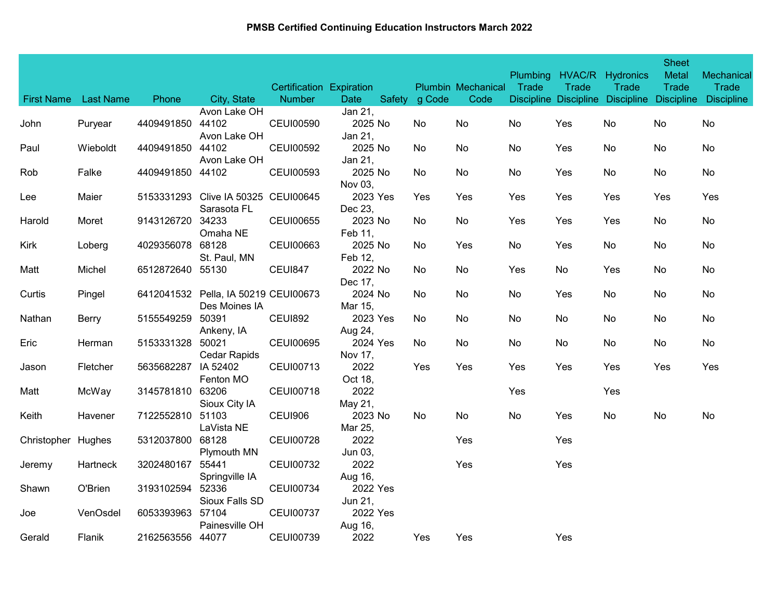|                    |                  |                  |                                                       | <b>Certification Expiration</b> |                     |               | <b>Plumbin Mechanical</b> | Plumbing<br>Trade | HVAC/R<br>Trade | Hydronics<br>Trade                          | <b>Sheet</b><br><b>Metal</b><br>Trade | Mechanical<br>Trade |
|--------------------|------------------|------------------|-------------------------------------------------------|---------------------------------|---------------------|---------------|---------------------------|-------------------|-----------------|---------------------------------------------|---------------------------------------|---------------------|
| <b>First Name</b>  | <b>Last Name</b> | Phone            | City, State<br>Avon Lake OH                           | <b>Number</b>                   | Date<br>Jan 21,     | Safety g Code | Code                      |                   |                 | Discipline Discipline Discipline Discipline |                                       | <b>Discipline</b>   |
| John               | Puryear          | 4409491850       | 44102<br>Avon Lake OH                                 | <b>CEUI00590</b>                | 2025 No<br>Jan 21,  | No.           | No                        | No                | Yes             | No                                          | No                                    | No                  |
| Paul               | Wieboldt         | 4409491850       | 44102<br>Avon Lake OH                                 | <b>CEUI00592</b>                | 2025 No<br>Jan 21,  | No            | <b>No</b>                 | No                | Yes             | No                                          | No                                    | No                  |
| Rob                | Falke            | 4409491850       | 44102                                                 | <b>CEUI00593</b>                | 2025 No<br>Nov 03,  | No            | <b>No</b>                 | No                | Yes             | No                                          | No                                    | No                  |
| Lee                | Maier            |                  | 5153331293 Clive IA 50325 CEUI00645<br>Sarasota FL    |                                 | 2023 Yes<br>Dec 23, | Yes           | Yes                       | Yes               | Yes             | Yes                                         | Yes                                   | Yes                 |
| Harold             | Moret            | 9143126720       | 34233<br>Omaha NE                                     | <b>CEUI00655</b>                | 2023 No<br>Feb 11,  | No            | No.                       | Yes               | Yes             | Yes                                         | No                                    | No                  |
| Kirk               | Loberg           | 4029356078       | 68128<br>St. Paul, MN                                 | <b>CEUI00663</b>                | 2025 No<br>Feb 12,  | No            | Yes                       | No                | Yes             | No                                          | No                                    | No                  |
| Matt               | Michel           | 6512872640 55130 |                                                       | <b>CEUI847</b>                  | 2022 No<br>Dec 17,  | No            | No.                       | Yes               | No              | Yes                                         | No                                    | No                  |
| Curtis             | Pingel           |                  | 6412041532 Pella, IA 50219 CEUI00673<br>Des Moines IA |                                 | 2024 No<br>Mar 15,  | No            | <b>No</b>                 | No                | Yes             | No                                          | No                                    | No                  |
| Nathan             | <b>Berry</b>     | 5155549259       | 50391<br>Ankeny, IA                                   | <b>CEUI892</b>                  | 2023 Yes<br>Aug 24, | No            | No.                       | No                | No              | No                                          | No                                    | No                  |
| Eric               | Herman           | 5153331328       | 50021<br>Cedar Rapids                                 | <b>CEUI00695</b>                | 2024 Yes<br>Nov 17, | No            | No.                       | No                | No              | No                                          | No                                    | No                  |
| Jason              | Fletcher         | 5635682287       | IA 52402<br>Fenton MO                                 | CEUI00713                       | 2022<br>Oct 18,     | Yes           | Yes                       | Yes               | Yes             | Yes                                         | Yes                                   | Yes                 |
| Matt               | McWay            | 3145781810 63206 | Sioux City IA                                         | <b>CEUI00718</b>                | 2022<br>May 21,     |               |                           | Yes               |                 | Yes                                         |                                       |                     |
| Keith              | Havener          | 7122552810       | 51103<br>LaVista NE                                   | <b>CEUI906</b>                  | 2023 No<br>Mar 25,  | No            | No.                       | No                | Yes             | No                                          | No                                    | No                  |
| Christopher Hughes |                  | 5312037800       | 68128<br><b>Plymouth MN</b>                           | <b>CEUI00728</b>                | 2022<br>Jun 03,     |               | Yes                       |                   | Yes             |                                             |                                       |                     |
| Jeremy             | <b>Hartneck</b>  | 3202480167       | 55441<br>Springville IA                               | <b>CEUI00732</b>                | 2022<br>Aug 16,     |               | Yes                       |                   | Yes             |                                             |                                       |                     |
| Shawn              | O'Brien          | 3193102594       | 52336<br>Sioux Falls SD                               | <b>CEUI00734</b>                | 2022 Yes<br>Jun 21, |               |                           |                   |                 |                                             |                                       |                     |
| Joe                | VenOsdel         | 6053393963       | 57104<br>Painesville OH                               | <b>CEUI00737</b>                | 2022 Yes<br>Aug 16, |               |                           |                   |                 |                                             |                                       |                     |
| Gerald             | Flanik           | 2162563556 44077 |                                                       | <b>CEUI00739</b>                | 2022                | Yes           | Yes                       |                   | Yes             |                                             |                                       |                     |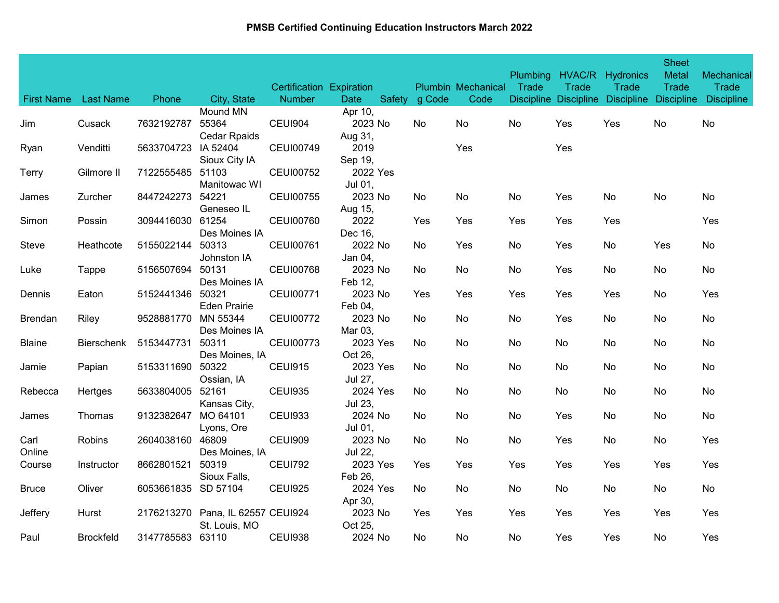|                   |                   |                     |                                          | Certification Expiration |                               |               | <b>Plumbin Mechanical</b> | <b>Plumbing</b><br>Trade | HVAC/R<br>Trade | Hydronics<br>Trade                          | <b>Sheet</b><br><b>Metal</b><br><b>Trade</b> | Mechanical<br>Trade |
|-------------------|-------------------|---------------------|------------------------------------------|--------------------------|-------------------------------|---------------|---------------------------|--------------------------|-----------------|---------------------------------------------|----------------------------------------------|---------------------|
| <b>First Name</b> | <b>Last Name</b>  | Phone               | City, State                              | <b>Number</b>            | <b>Date</b>                   | Safety g Code | Code                      |                          |                 | Discipline Discipline Discipline Discipline |                                              | <b>Discipline</b>   |
| Jim               | Cusack            | 7632192787          | Mound MN<br>55364<br><b>Cedar Rpaids</b> | CEUI904                  | Apr 10,<br>2023 No<br>Aug 31, | No.           | No                        | No                       | Yes             | Yes                                         | No                                           | No                  |
| Ryan              | Venditti          | 5633704723 IA 52404 | Sioux City IA                            | <b>CEUI00749</b>         | 2019<br>Sep 19,               |               | Yes                       |                          | Yes             |                                             |                                              |                     |
| Terry             | Gilmore II        | 7122555485          | 51103<br>Manitowac WI                    | <b>CEUI00752</b>         | 2022 Yes<br>Jul 01,           |               |                           |                          |                 |                                             |                                              |                     |
| James             | Zurcher           | 8447242273          | 54221<br>Geneseo IL                      | <b>CEUI00755</b>         | 2023 No<br>Aug 15,            | No.           | No.                       | No                       | Yes             | No                                          | No                                           | No.                 |
| Simon             | Possin            | 3094416030          | 61254<br>Des Moines IA                   | <b>CEUI00760</b>         | 2022<br>Dec 16,               | Yes           | Yes                       | Yes                      | Yes             | Yes                                         |                                              | Yes                 |
| Steve             | Heathcote         | 5155022144          | 50313<br>Johnston IA                     | <b>CEUI00761</b>         | 2022 No<br>Jan 04,            | No            | Yes                       | No                       | Yes             | No                                          | Yes                                          | No                  |
| Luke              | Tappe             | 5156507694          | 50131<br>Des Moines IA                   | <b>CEUI00768</b>         | 2023 No<br>Feb 12,            | No.           | No.                       | No                       | Yes             | No                                          | No                                           | No                  |
| Dennis            | Eaton             | 5152441346          | 50321<br><b>Eden Prairie</b>             | <b>CEUI00771</b>         | 2023 No<br>Feb 04,            | Yes           | Yes                       | Yes                      | Yes             | Yes                                         | No                                           | Yes                 |
| <b>Brendan</b>    | Riley             | 9528881770          | MN 55344<br>Des Moines IA                | <b>CEUI00772</b>         | 2023 No<br>Mar 03,            | No.           | No                        | No                       | Yes             | No                                          | No                                           | No                  |
| <b>Blaine</b>     | <b>Bierschenk</b> | 5153447731          | 50311<br>Des Moines, IA                  | <b>CEUI00773</b>         | 2023 Yes<br>Oct 26,           | No            | No                        | No                       | No              | No                                          | No                                           | No                  |
| Jamie             | Papian            | 5153311690          | 50322<br>Ossian, IA                      | <b>CEUI915</b>           | 2023 Yes<br>Jul 27,           | No            | No                        | No                       | No              | No                                          | No                                           | No                  |
| Rebecca           | Hertges           | 5633804005          | 52161<br>Kansas City,                    | <b>CEUI935</b>           | 2024 Yes<br>Jul 23,           | No.           | No                        | No                       | No              | No                                          | No                                           | No                  |
| James             | Thomas            | 9132382647          | MO 64101<br>Lyons, Ore                   | <b>CEUI933</b>           | 2024 No<br>Jul 01,            | No            | No                        | No                       | Yes             | No                                          | No                                           | No                  |
| Carl<br>Online    | Robins            | 2604038160 46809    | Des Moines, IA                           | CEUI909                  | 2023 No<br>Jul 22,            | No.           | No                        | No                       | Yes             | No                                          | No                                           | Yes                 |
| Course            | Instructor        | 8662801521          | 50319<br>Sioux Falls,                    | <b>CEUI792</b>           | 2023 Yes<br>Feb 26,           | Yes           | Yes                       | Yes                      | Yes             | Yes                                         | Yes                                          | Yes                 |
| <b>Bruce</b>      | Oliver            | 6053661835          | SD 57104                                 | <b>CEUI925</b>           | 2024 Yes<br>Apr 30,           | No            | No                        | No                       | No              | No                                          | No                                           | No                  |
| Jeffery           | Hurst             | 2176213270          | Pana, IL 62557 CEUI924<br>St. Louis, MO  |                          | 2023 No<br>Oct 25,            | Yes           | Yes                       | Yes                      | Yes             | Yes                                         | Yes                                          | Yes                 |
| Paul              | Brockfeld         | 3147785583 63110    |                                          | <b>CEUI938</b>           | 2024 No                       | No.           | No.                       | No                       | Yes             | Yes                                         | No                                           | Yes                 |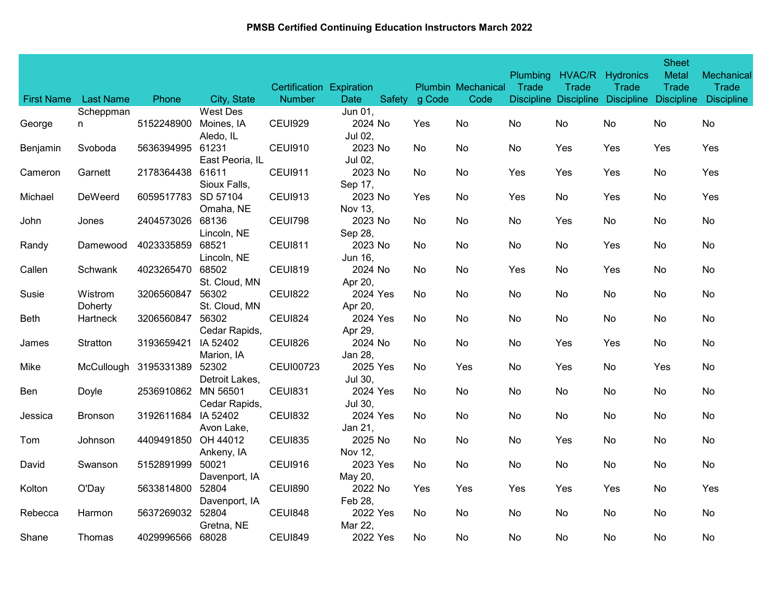| <b>First Name</b> | <b>Last Name</b>   | Phone               | City, State               | Certification Expiration<br><b>Number</b> | <b>Date</b>         | Safety | g Code | <b>Plumbin Mechanical</b><br>Code | <b>Plumbing</b><br>Trade | HVAC/R<br>Trade | Hydronics<br>Trade<br>Discipline Discipline Discipline Discipline | <b>Sheet</b><br><b>Metal</b><br><b>Trade</b> | Mechanical<br>Trade<br><b>Discipline</b> |
|-------------------|--------------------|---------------------|---------------------------|-------------------------------------------|---------------------|--------|--------|-----------------------------------|--------------------------|-----------------|-------------------------------------------------------------------|----------------------------------------------|------------------------------------------|
|                   | Scheppman          |                     | West Des                  |                                           | Jun 01,             |        |        |                                   |                          |                 |                                                                   |                                              |                                          |
| George            | n                  | 5152248900          | Moines, IA<br>Aledo, IL   | <b>CEUI929</b>                            | 2024 No<br>Jul 02,  |        | Yes    | No                                | No                       | No              | No                                                                | No                                           | No                                       |
| Benjamin          | Svoboda            | 5636394995          | 61231<br>East Peoria, IL  | <b>CEUI910</b>                            | 2023 No<br>Jul 02,  |        | No     | No                                | No                       | Yes             | Yes                                                               | Yes                                          | Yes                                      |
| Cameron           | Garnett            | 2178364438          | 61611<br>Sioux Falls,     | <b>CEUI911</b>                            | 2023 No<br>Sep 17,  |        | No.    | No                                | Yes                      | Yes             | Yes                                                               | No                                           | Yes                                      |
| Michael           | DeWeerd            | 6059517783 SD 57104 | Omaha, NE                 | <b>CEUI913</b>                            | 2023 No<br>Nov 13,  |        | Yes    | No                                | Yes                      | No              | Yes                                                               | No                                           | Yes                                      |
| John              | Jones              | 2404573026          | 68136<br>Lincoln, NE      | <b>CEUI798</b>                            | 2023 No<br>Sep 28,  |        | No.    | No                                | No                       | Yes             | No                                                                | No                                           | No                                       |
| Randy             | Damewood           | 4023335859          | 68521<br>Lincoln, NE      | <b>CEUI811</b>                            | 2023 No<br>Jun 16,  |        | No.    | No                                | No                       | No              | Yes                                                               | No                                           | No                                       |
| Callen            | Schwank            | 4023265470          | 68502<br>St. Cloud, MN    | <b>CEUI819</b>                            | 2024 No<br>Apr 20,  |        | No     | No                                | Yes                      | No              | Yes                                                               | No                                           | No                                       |
| Susie             | Wistrom<br>Doherty | 3206560847          | 56302<br>St. Cloud, MN    | <b>CEUI822</b>                            | 2024 Yes<br>Apr 20, |        | No.    | No                                | No                       | No              | No                                                                | No                                           | No                                       |
| Beth              | Hartneck           | 3206560847          | 56302<br>Cedar Rapids,    | <b>CEUI824</b>                            | 2024 Yes<br>Apr 29, |        | No.    | No                                | No                       | No              | No                                                                | No                                           | No                                       |
| James             | Stratton           | 3193659421          | IA 52402<br>Marion, IA    | <b>CEUI826</b>                            | 2024 No<br>Jan 28,  |        | No     | No                                | No                       | Yes             | Yes                                                               | No                                           | No                                       |
| Mike              | McCullough         | 3195331389          | 52302<br>Detroit Lakes,   | <b>CEUI00723</b>                          | 2025 Yes<br>Jul 30, |        | No.    | Yes                               | No                       | Yes             | No                                                                | Yes                                          | No                                       |
| Ben               | Doyle              | 2536910862          | MN 56501<br>Cedar Rapids, | <b>CEUI831</b>                            | 2024 Yes<br>Jul 30, |        | No.    | No.                               | No                       | No              | No                                                                | No                                           | No                                       |
| Jessica           | <b>Bronson</b>     | 3192611684          | IA 52402<br>Avon Lake,    | <b>CEUI832</b>                            | 2024 Yes<br>Jan 21, |        | No.    | No                                | No                       | No              | No                                                                | No                                           | No                                       |
| Tom               | Johnson            | 4409491850 OH 44012 | Ankeny, IA                | <b>CEUI835</b>                            | 2025 No<br>Nov 12,  |        | No.    | No                                | No                       | Yes             | No                                                                | No                                           | No.                                      |
| David             | Swanson            | 5152891999          | 50021<br>Davenport, IA    | CEUI916                                   | 2023 Yes<br>May 20, |        | No.    | No.                               | No                       | No              | No                                                                | No                                           | No.                                      |
| Kolton            | O'Day              | 5633814800          | 52804<br>Davenport, IA    | <b>CEUI890</b>                            | 2022 No<br>Feb 28,  |        | Yes    | Yes                               | Yes                      | Yes             | Yes                                                               | No                                           | Yes                                      |
| Rebecca           | Harmon             | 5637269032          | 52804<br>Gretna, NE       | <b>CEUI848</b>                            | 2022 Yes<br>Mar 22, |        | No     | No.                               | No                       | No              | No                                                                | No                                           | No                                       |
| Shane             | Thomas             | 4029996566          | 68028                     | <b>CEUI849</b>                            | 2022 Yes            |        | No     | No.                               | No                       | No              | No                                                                | No                                           | No                                       |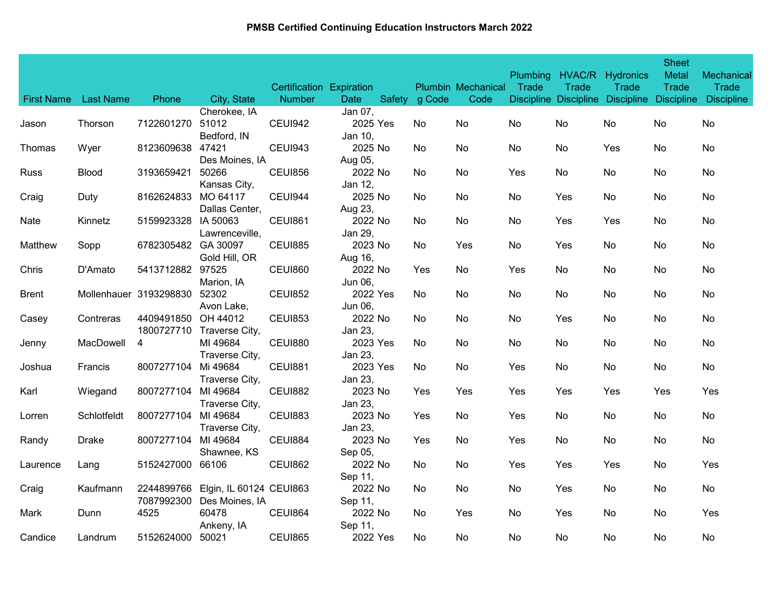| <b>First Name</b> | <b>Last Name</b> |                                   | City, State                               | Certification Expiration<br><b>Number</b> | Date                          | Safety g Code | <b>Plumbin Mechanical</b><br>Code | <b>Plumbing</b><br>Trade | HVAC/R<br>Trade | Hydronics<br>Trade<br>Discipline Discipline Discipline Discipline | <b>Sheet</b><br>Metal<br><b>Trade</b> | Mechanical<br>Trade<br><b>Discipline</b> |
|-------------------|------------------|-----------------------------------|-------------------------------------------|-------------------------------------------|-------------------------------|---------------|-----------------------------------|--------------------------|-----------------|-------------------------------------------------------------------|---------------------------------------|------------------------------------------|
|                   |                  | Phone                             | Cherokee, IA                              |                                           | Jan 07,                       |               |                                   |                          |                 |                                                                   |                                       |                                          |
| Jason             | Thorson          | 7122601270                        | 51012<br>Bedford, IN                      | CEUI942                                   | 2025 Yes<br>Jan 10,           | No.           | No                                | No                       | No              | No                                                                | No                                    | No                                       |
| Thomas            | Wyer             | 8123609638                        | 47421                                     | CEUI943                                   | 2025 No                       | No            | No                                | No                       | No              | Yes                                                               | No                                    | No                                       |
| <b>Russ</b>       | <b>Blood</b>     | 3193659421                        | Des Moines, IA<br>50266<br>Kansas City,   | <b>CEUI856</b>                            | Aug 05,<br>2022 No<br>Jan 12, | No            | No                                | Yes                      | No              | No                                                                | No                                    | No                                       |
| Craig             | Duty             | 8162624833 MO 64117               | Dallas Center,                            | CEUI944                                   | 2025 No<br>Aug 23,            | No            | No.                               | No                       | Yes             | No                                                                | No                                    | No                                       |
| Nate              | Kinnetz          | 5159923328                        | IA 50063<br>Lawrenceville,                | <b>CEUI861</b>                            | 2022 No<br>Jan 29,            | No            | No                                | No                       | Yes             | Yes                                                               | No                                    | No                                       |
| Matthew           | Sopp             | 6782305482 GA 30097               | Gold Hill, OR                             | <b>CEUI885</b>                            | 2023 No<br>Aug 16,            | No.           | Yes                               | No                       | Yes             | No                                                                | No                                    | No                                       |
| Chris             | D'Amato          | 5413712882 97525                  | Marion, IA                                | <b>CEUI860</b>                            | 2022 No<br>Jun 06,            | Yes           | No                                | Yes                      | No              | No                                                                | No                                    | No                                       |
| <b>Brent</b>      |                  | Mollenhauer 3193298830            | 52302<br>Avon Lake,                       | <b>CEUI852</b>                            | 2022 Yes<br>Jun 06,           | No            | No                                | No                       | No              | No                                                                | No                                    | No                                       |
| Casey             | Contreras        | 4409491850 OH 44012<br>1800727710 | Traverse City,                            | <b>CEUI853</b>                            | 2022 No<br>Jan 23,            | No            | No                                | No                       | Yes             | No                                                                | No                                    | No                                       |
| Jenny             | MacDowell        | 4                                 | MI 49684<br>Traverse City,                | <b>CEUI880</b>                            | 2023 Yes<br>Jan 23,           | No            | No                                | No                       | No              | No                                                                | No                                    | No                                       |
| Joshua            | Francis          | 8007277104                        | Mi 49684<br>Traverse City,                | <b>CEUI881</b>                            | 2023 Yes<br>Jan 23,           | No            | No                                | Yes                      | No              | No                                                                | No                                    | No                                       |
| Karl              | Wiegand          | 8007277104 MI 49684               | Traverse City,                            | <b>CEUI882</b>                            | 2023 No<br>Jan 23,            | Yes           | Yes                               | Yes                      | Yes             | Yes                                                               | Yes                                   | Yes                                      |
| Lorren            | Schlotfeldt      | 8007277104                        | MI 49684<br>Traverse City,                | <b>CEUI883</b>                            | 2023 No<br>Jan 23,            | Yes           | No                                | Yes                      | No              | No                                                                | No                                    | No                                       |
| Randy             | <b>Drake</b>     | 8007277104                        | MI 49684<br>Shawnee, KS                   | <b>CEUI884</b>                            | 2023 No<br>Sep 05,            | Yes           | No                                | Yes                      | No              | No                                                                | No                                    | No                                       |
| Laurence          | Lang             | 5152427000                        | 66106                                     | <b>CEUI862</b>                            | 2022 No<br>Sep 11,            | No            | No                                | Yes                      | Yes             | Yes                                                               | No                                    | Yes                                      |
| Craig             | Kaufmann         | 2244899766<br>7087992300          | Elgin, IL 60124 CEUI863<br>Des Moines, IA |                                           | 2022 No<br>Sep 11,            | No            | No                                | No                       | Yes             | No                                                                | No                                    | No                                       |
| Mark              | Dunn             | 4525                              | 60478<br>Ankeny, IA                       | CEUI864                                   | 2022 No<br>Sep 11,            | No.           | Yes                               | No                       | Yes             | No                                                                | No                                    | Yes                                      |
| Candice           | Landrum          | 5152624000                        | 50021                                     | <b>CEUI865</b>                            | 2022 Yes                      | No.           | No.                               | No                       | No              | No                                                                | No                                    | No                                       |